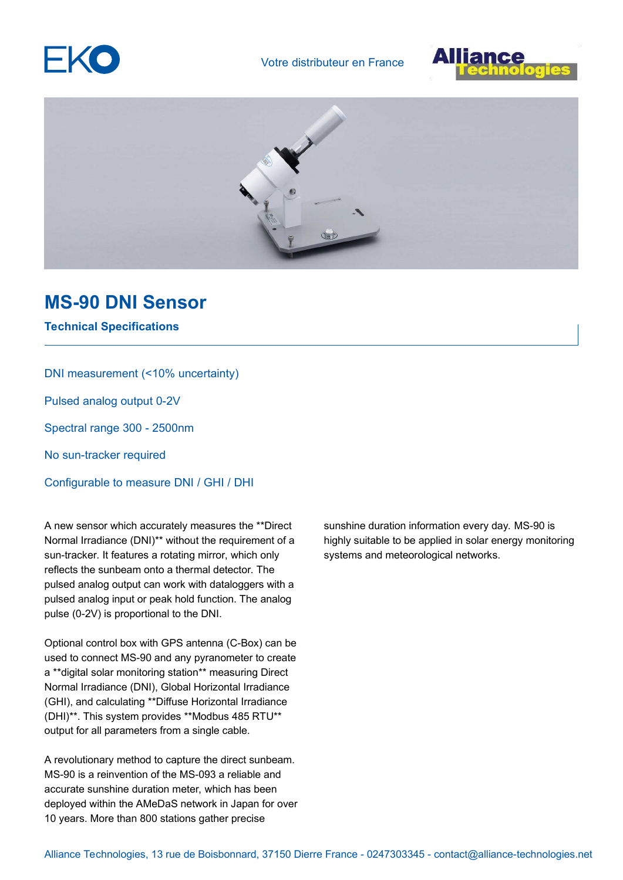





## **MS-90 DNI Sensor**

**Technical Specifications**

DNI measurement (<10% uncertainty)

Pulsed analog output 0-2V

Spectral range 300 - 2500nm

No sun-tracker required

Configurable to measure DNI / GHI / DHI

A new sensor which accurately measures the \*\*Direct Normal Irradiance (DNI)\*\* without the requirement of a sun-tracker. It features a rotating mirror, which only reflects the sunbeam onto a thermal detector. The pulsed analog output can work with dataloggers with a pulsed analog input or peak hold function. The analog pulse (0-2V) is proportional to the DNI.

Optional control box with GPS antenna (C-Box) can be used to connect MS-90 and any pyranometer to create a \*\*digital solar monitoring station\*\* measuring Direct Normal Irradiance (DNI), Global Horizontal Irradiance (GHI), and calculating \*\*Diffuse Horizontal Irradiance (DHI)\*\*. This system provides \*\*Modbus 485 RTU\*\* output for all parameters from a single cable.

A revolutionary method to capture the direct sunbeam. MS-90 is a reinvention of the MS-093 a reliable and accurate sunshine duration meter, which has been deployed within the AMeDaS network in Japan for over 10 years. More than 800 stations gather precise

sunshine duration information every day. MS-90 is highly suitable to be applied in solar energy monitoring systems and meteorological networks.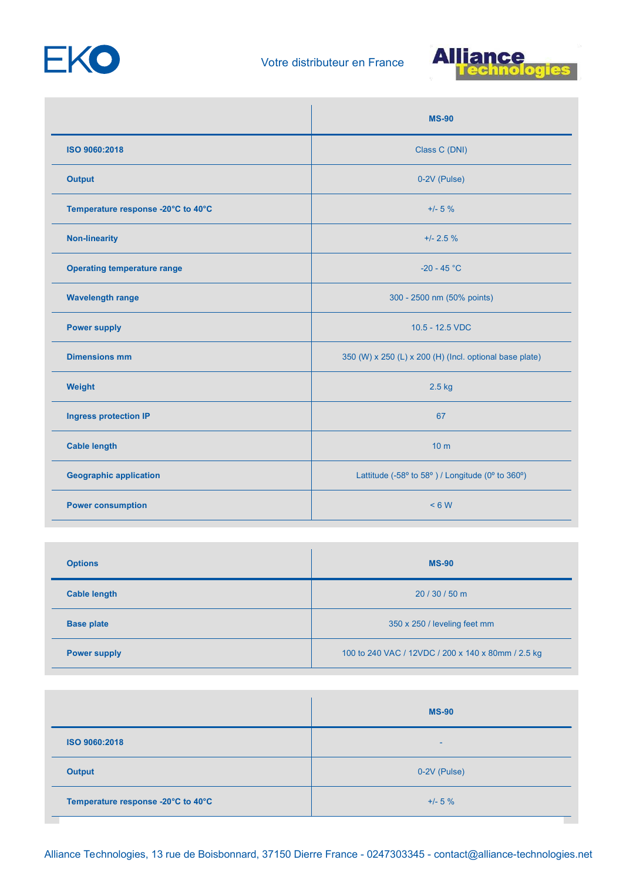



|                                    | <b>MS-90</b>                                            |
|------------------------------------|---------------------------------------------------------|
| ISO 9060:2018                      | Class C (DNI)                                           |
| <b>Output</b>                      | 0-2V (Pulse)                                            |
| Temperature response -20°C to 40°C | $+/- 5 \%$                                              |
| <b>Non-linearity</b>               | $+/- 2.5%$                                              |
| <b>Operating temperature range</b> | $-20 - 45 °C$                                           |
| <b>Wavelength range</b>            | 300 - 2500 nm (50% points)                              |
| <b>Power supply</b>                | 10.5 - 12.5 VDC                                         |
| <b>Dimensions mm</b>               | 350 (W) x 250 (L) x 200 (H) (Incl. optional base plate) |
| Weight                             | $2.5$ kg                                                |
| <b>Ingress protection IP</b>       | 67                                                      |
| <b>Cable length</b>                | 10 <sub>m</sub>                                         |
| <b>Geographic application</b>      | Lattitude (-58° to 58°) / Longitude (0° to 360°)        |
| <b>Power consumption</b>           | < 6 W                                                   |

| <b>Options</b>      | <b>MS-90</b>                                       |
|---------------------|----------------------------------------------------|
| <b>Cable length</b> | 20 / 30 / 50 m                                     |
| <b>Base plate</b>   | 350 x 250 / leveling feet mm                       |
| <b>Power supply</b> | 100 to 240 VAC / 12VDC / 200 x 140 x 80mm / 2.5 kg |

|                                    | <b>MS-90</b> |
|------------------------------------|--------------|
| ISO 9060:2018                      | -            |
| <b>Output</b>                      | 0-2V (Pulse) |
| Temperature response -20°C to 40°C | $+/- 5 \%$   |

Alliance Technologies, 13 rue de Boisbonnard, 37150 Dierre France - 0247303345 - contact@alliance-technologies.net